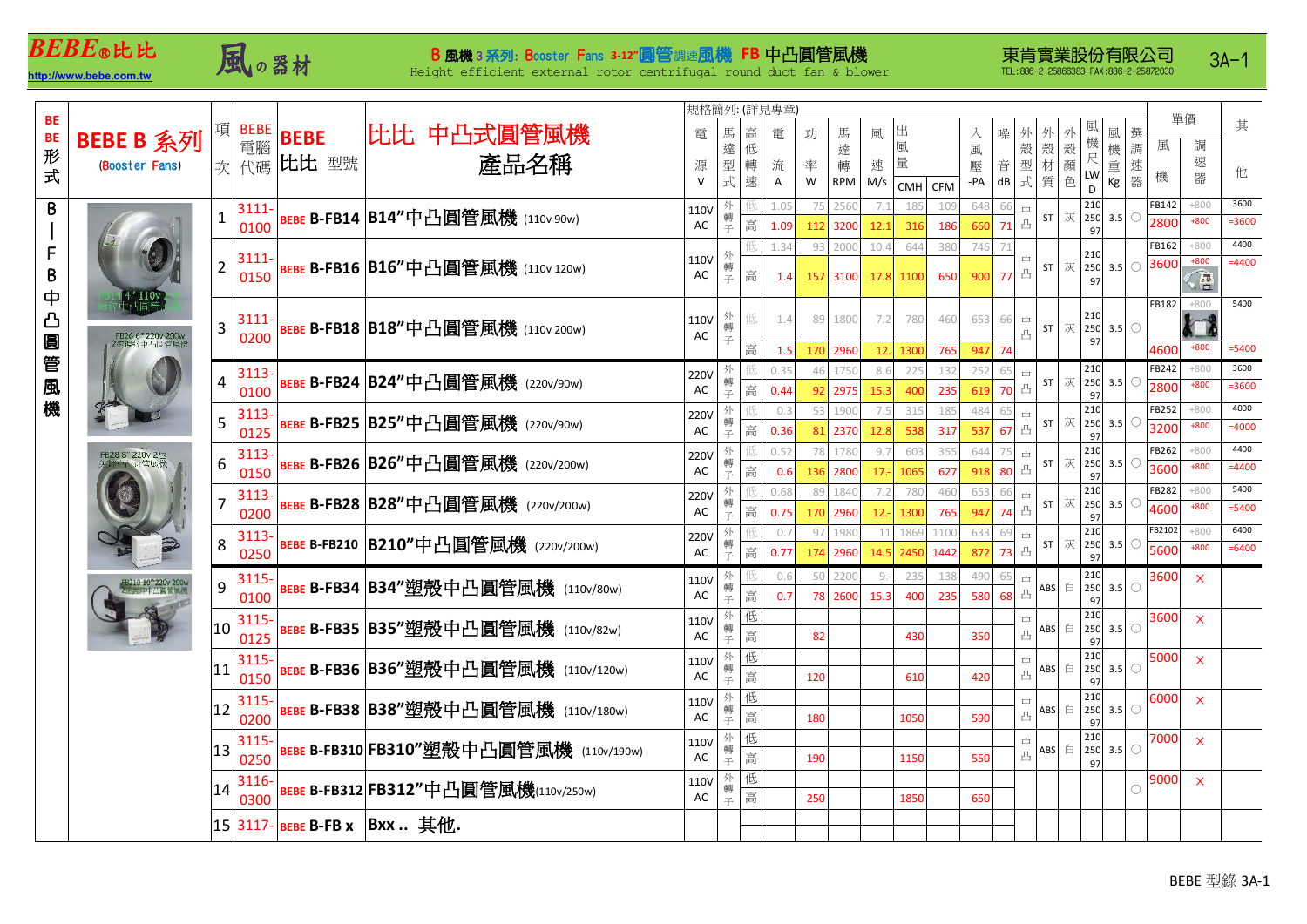## *BEBE*○**R**比比

## $\pmb{BEBE}$ ®比比 B 風機 3 系列: Booster Fans 3-12 個管調速風機 FB 中凸圓管風機<br>ttp://www.bebe.com.tw Height efficient external rotor centrifugal round duct fan & blow

Height efficient external rotor centrifugal round duct fan & blower

3A-1

|          |                                | 規格簡列: (詳見專章)    |          |             |                                                                             |                               |        |   |      |        |          |        |           |      |     |            |                      |    |                                 |        |                  |          |
|----------|--------------------------------|-----------------|----------|-------------|-----------------------------------------------------------------------------|-------------------------------|--------|---|------|--------|----------|--------|-----------|------|-----|------------|----------------------|----|---------------------------------|--------|------------------|----------|
| BE       |                                |                 | 項 BEBE   | <b>BEBE</b> | 比比 中凸式圓管風機                                                                  | 電                             | 馬      | 高 | 電    | 馬<br>功 |          | 出<br>風 |           | 入    |     | 噪          |                      | 外  | 風<br>選                          |        | 單價               | 其        |
| BE<br>#  | BEBE B 系列                      |                 | 電腦       |             |                                                                             |                               | 達      | 低 |      |        | 達        |        | 風         |      | 風   |            | 殻<br>殼               | 殻顔 | 機<br>機<br>調                     | 風      | 調                |          |
| 式        | (Booster Fans)                 |                 | 次代碼      | 比比 型號       | 產品名稱                                                                        | 源                             | 型      | 轉 | 流    | 率      | 轉        | 速      | 量         |      | 壓   | 音          | 型式<br>材              |    | 尺<br>LW<br>速<br>重               | 機      | 速<br>器           | 他        |
|          |                                |                 |          |             |                                                                             | $\vee$                        | 式      | 速 | A    | W      | RPM      | M/s    | CMH CFM   |      | -PA | ${\sf dB}$ | 質                    | 色  | 器<br>Кg<br>D                    |        |                  |          |
| B        |                                | 1               | $3111 -$ |             | <b>BEBE B-FB14 B14"中凸圓管風機</b> (110v 90w)                                    | <b>110V</b>                   | 外<br>轉 |   | 1.05 | 75     | 2560     | 7.1    | 185       | 109  | 648 | 66         | 中                    |    | 210<br>$ST$  灰 250 3.5<br>O     | FB142  | $+800$           | 3600     |
|          | FB26 6" 220v 200v<br>2英维济中与调管局 |                 | 0100     |             |                                                                             | AC                            | 주      | 高 | 1.09 |        | 112 3200 | 12.1   | 316       | 186  | 660 | 71         | 凸                    |    | 97                              | 2800   | $+800$           | =3600    |
| F        |                                | $\overline{2}$  | $3111 -$ |             |                                                                             | 110V<br>AC                    | 外      |   | 1.34 | 93     | 2000     | 10.4   | 644       | 380  | 746 | 71         | 中                    |    | 210                             | FB162  | $+800$<br>$+800$ | 4400     |
| $\pmb B$ |                                |                 | 0150     |             | <b>BEBE B-FB16 B16"中凸圓管風機</b> (110v 120w)                                   |                               | 轉      | 高 | 1.4  |        | 157 3100 |        | 17.8 1100 | 650  | 900 | 77 凸       |                      |    | $ST \times 250$ 3.5 ○<br>97     | 3600   | G                | $=4400$  |
| ф        |                                |                 |          |             |                                                                             |                               |        |   |      |        |          |        |           |      |     |            |                      |    |                                 |        |                  |          |
| <u>ය</u> |                                | 3               | $3111 -$ |             | <b>BEBE B-FB18 B18"中凸圓管風機 (110v 200w)</b>                                   | 110V<br>$\mathsf{AC}$         | 外      |   | 1.4  |        | 89 1800  | 7.2    | 780       | 460  | 653 | 66         | 中                    |    | 210                             | FB182  | $+800$           | 5400     |
| 圓        |                                |                 | 0200     |             |                                                                             |                               | 轉<br>子 |   |      |        |          |        |           |      |     |            | ST<br>凸              |    | 灰 250 3.5<br>$\circ$<br>97      |        |                  |          |
|          |                                |                 |          |             |                                                                             |                               |        | 高 | 1.5  |        | 170 2960 | 12.    | 1300      | 765  | 947 | 74         |                      |    |                                 | 4600   | $+800$           | $= 5400$ |
| 管        |                                | 4               | 3113-    |             | <b>BEBE B-FB24 B24"中凸圓管風機</b> (220v/90w)                                    | 220V<br>AC                    | 外      |   |      | 46     | 1750     | 8.6    | 225       | 132  | 252 | 65         | ≑.<br>ST             | 灰  | 210<br>250 3.5<br>C             | FB242  | $+800$           | 3600     |
| 風        |                                |                 | 0100     |             |                                                                             |                               | 轉子     | 高 | 0.44 |        | 92 2975  | 15.3   | 400       | 235  | 619 | 70         | 凸                    |    | 97                              | 2800   | +800             | $= 3600$ |
| 機        |                                | 5               | 3113     |             | BEBE B-FB25 B25"中凸圓管風機 (220v/90w)                                           | <b>220V</b>                   | 外      |   | 0.3  |        | 53 1900  | 7.5    | 315       | 185  | 484 | 65         | ‡<br>ST <sub>1</sub> | 灰  | 210<br>250<br>O<br>3.5          | FB252  | $+800$           | 4000     |
|          |                                |                 | 0125     |             |                                                                             | AC                            | 轉子     | 高 | 0.36 |        | 81 2370  | 12.8   | 538       | 317  | 537 | 67         | 凸                    |    | 97                              | 3200   | $+800$           | $=4000$  |
|          |                                | 6               | 3113-    |             | <b>BEBE B-FB26 B26"中凸圓管風機</b> (220v/200w)                                   | <b>220V</b>                   | 外<br>轉 |   | 0.52 | 78     | 1780     | 9.7    | 603       | 355  | 644 |            | ‡<br>ST              | 灰  | 210<br>250<br>3.5<br>O          | FB262  | $+800$           | 4400     |
|          |                                |                 | 0150     |             |                                                                             | AC                            | 子      | 高 | 0.6  |        | 136 2800 | $17 -$ | 1065      | 627  | 918 | 80         | 凸                    |    | 97                              | 3600   | $+800$           | $=4400$  |
|          |                                | 7               | 3113-    |             | BEBE B-FB28 B28"中凸圓管風機 (220v/200w)                                          | 220V                          | 外<br>轉 |   | 0.68 | 89     | 1840     | 7.2    | 780       | 460  | 653 | 66         | ‡<br>ST              | 灰  | 210<br>250<br>3.5<br>O          | FB282  | $+800$           | 5400     |
|          |                                |                 | 0200     |             |                                                                             | AC                            | 子      | 高 | 0.75 |        | 170 2960 | $12 -$ | 1300      | 765  | 947 | 74         | 凸                    |    | 97                              | 4600   | $+800$           | $= 5400$ |
|          |                                | 8               | 3113     |             | BEBE B-FB210 B210"中凸圓管風機 (220v/200w)<br>BEBE B-FB34 B34"塑殻中凸圓管風機 (110v/80w) | 220V<br>$\mathsf{AC}$<br>110V | 外<br>轉 |   | 0.7  | 97     | 1980     | 11     | 1869      | 1100 | 633 | 69         | ‡<br>ST              | 灰  | 210<br>250<br>3.5<br>O          | FB2102 | $+800$           | 6400     |
|          |                                |                 | 0250     |             |                                                                             |                               | ⊋      | 高 | 0.77 |        | 174 2960 |        | 14.5 2450 | 1442 | 872 | 73 凸       |                      |    | 97                              | 5600   | $+800$           | $= 6400$ |
|          |                                | 9               | 3115-    |             |                                                                             |                               | 外<br>轉 |   | 0.6  |        | 50 2200  | $9 -$  | 235       | 138  | 490 | 65         | ‡                    | 白  | 210<br>$250$ 3.5<br>O           | 3600   | $\mathsf{x}$     |          |
|          |                                |                 | 0100     |             |                                                                             | AC                            | 子      | 高 | 0.7  |        | 78 2600  | 15.3   | 400       | 235  | 580 | 68         | <b>ABS</b><br>凸      |    | 97                              |        |                  |          |
|          |                                | 10 <sup>1</sup> | 3115-    |             | BEBE B-FB35 B35"塑殼中凸圓管風機 (110v/82w)                                         | <b>110V</b><br>AC             | 外<br>轉 | 低 |      |        |          |        |           |      |     |            | 中                    |    | 210<br>ABS 白 250 3.5<br>$\circ$ | 3600   | $\mathsf{x}$     |          |
|          |                                |                 | 0125     |             |                                                                             |                               | 주      | 高 |      | 82     |          |        | 430       |      | 350 |            | 凸                    |    | 97                              |        |                  |          |
|          |                                | 11              | 3115-    |             | BEBE B-FB36 B36"塑殻中凸圓管風機 (110v/120w)                                        | <b>110V</b>                   | 外<br>轉 | 低 |      |        |          |        |           |      |     |            | 中<br><b>ABS</b>      |    | 210<br>白 250 3.5<br>O           | 5000   | $\mathsf{x}$     |          |
|          |                                |                 | 0150     |             |                                                                             | AC                            | 주      | 高 |      | 120    |          |        | 610       |      | 420 |            | 凸                    |    | 97                              |        |                  |          |
|          |                                | 12              | 3115-    |             | BEBE B-FB38 B38"塑殼中凸圓管風機 (110v/180w)                                        | 110V                          | 外<br>轉 | 低 |      |        |          |        |           |      |     |            | 中                    |    | 210<br>ABS 白 250 3.5<br>O       | 6000   | $\mathsf{x}$     |          |
|          |                                |                 | 0200     |             |                                                                             | AC                            | 子      | 高 |      | 180    |          |        | 1050      |      | 590 |            | 凸                    |    | 97                              |        |                  |          |
|          |                                | 13              | 3115     |             | BEBE B-FB310 FB310"塑殻中凸圓管風機 (110v/190w)                                     | 110V                          | 外<br>轉 | 低 |      |        |          |        |           |      |     |            | 中                    |    | 210<br>ABS 白 250 3.5<br>$\circ$ | 7000   | $\mathsf{x}$     |          |
|          |                                |                 | 0250     |             |                                                                             | $\mathsf{AC}$                 | 子      | 高 |      | 190    |          |        | 1150      |      | 550 |            | 凸                    |    | 97                              |        |                  |          |
|          |                                | 14              | 3116-    |             | BEBE B-FB312 FB312"中凸圓管風機(110v/250w)                                        | 110V                          | 外<br>轉 | 低 |      |        |          |        |           |      |     |            |                      |    |                                 | 9000   | $\mathbf{x}$     |          |
|          |                                |                 | 0300     |             |                                                                             | $\mathsf{AC}$                 | 子      | 高 |      | 250    |          |        | 1850      |      | 650 |            |                      |    |                                 |        |                  |          |
|          |                                |                 |          |             | 15 3117- BEBE B-FB x Bxx 其他.                                                |                               |        |   |      |        |          |        |           |      |     |            |                      |    |                                 |        |                  |          |